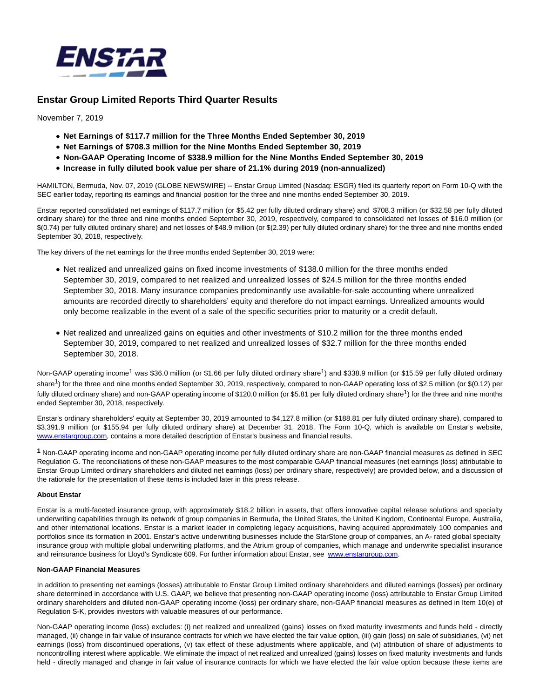

# **Enstar Group Limited Reports Third Quarter Results**

November 7, 2019

- **Net Earnings of \$117.7 million for the Three Months Ended September 30, 2019**
- **Net Earnings of \$708.3 million for the Nine Months Ended September 30, 2019**
- **Non-GAAP Operating Income of \$338.9 million for the Nine Months Ended September 30, 2019**
- **Increase in fully diluted book value per share of 21.1% during 2019 (non-annualized)**

HAMILTON, Bermuda, Nov. 07, 2019 (GLOBE NEWSWIRE) -- Enstar Group Limited (Nasdaq: ESGR) filed its quarterly report on Form 10-Q with the SEC earlier today, reporting its earnings and financial position for the three and nine months ended September 30, 2019.

Enstar reported consolidated net earnings of \$117.7 million (or \$5.42 per fully diluted ordinary share) and \$708.3 million (or \$32.58 per fully diluted ordinary share) for the three and nine months ended September 30, 2019, respectively, compared to consolidated net losses of \$16.0 million (or \$(0.74) per fully diluted ordinary share) and net losses of \$48.9 million (or \$(2.39) per fully diluted ordinary share) for the three and nine months ended September 30, 2018, respectively.

The key drivers of the net earnings for the three months ended September 30, 2019 were:

- Net realized and unrealized gains on fixed income investments of \$138.0 million for the three months ended September 30, 2019, compared to net realized and unrealized losses of \$24.5 million for the three months ended September 30, 2018. Many insurance companies predominantly use available-for-sale accounting where unrealized amounts are recorded directly to shareholders' equity and therefore do not impact earnings. Unrealized amounts would only become realizable in the event of a sale of the specific securities prior to maturity or a credit default.
- Net realized and unrealized gains on equities and other investments of \$10.2 million for the three months ended September 30, 2019, compared to net realized and unrealized losses of \$32.7 million for the three months ended September 30, 2018.

Non-GAAP operating income<sup>1</sup> was \$36.0 million (or \$1.66 per fully diluted ordinary share<sup>1</sup>) and \$338.9 million (or \$15.59 per fully diluted ordinary share<sup>1</sup>) for the three and nine months ended September 30, 2019, respectively, compared to non-GAAP operating loss of \$2.5 million (or \$(0.12) per fully diluted ordinary share) and non-GAAP operating income of \$120.0 million (or \$5.81 per fully diluted ordinary share<sup>1</sup>) for the three and nine months ended September 30, 2018, respectively.

Enstar's ordinary shareholders' equity at September 30, 2019 amounted to \$4,127.8 million (or \$188.81 per fully diluted ordinary share), compared to \$3,391.9 million (or \$155.94 per fully diluted ordinary share) at December 31, 2018. The Form 10-Q, which is available on Enstar's website, [www.enstargroup.com,](https://www.globenewswire.com/Tracker?data=F7CL6HkR-QlviQiCstkZ0mTUluUKPboOodcpimYky1Y_liSIfRwnm7vhvT39wL5bjaQJc4vwZ5s69UTGhQMj98drb6-0_Y0L89dMKd5jp3w=) contains a more detailed description of Enstar's business and financial results.

**1** Non-GAAP operating income and non-GAAP operating income per fully diluted ordinary share are non-GAAP financial measures as defined in SEC Regulation G. The reconciliations of these non-GAAP measures to the most comparable GAAP financial measures (net earnings (loss) attributable to Enstar Group Limited ordinary shareholders and diluted net earnings (loss) per ordinary share, respectively) are provided below, and a discussion of the rationale for the presentation of these items is included later in this press release.

## **About Enstar**

Enstar is a multi-faceted insurance group, with approximately \$18.2 billion in assets, that offers innovative capital release solutions and specialty underwriting capabilities through its network of group companies in Bermuda, the United States, the United Kingdom, Continental Europe, Australia, and other international locations. Enstar is a market leader in completing legacy acquisitions, having acquired approximately 100 companies and portfolios since its formation in 2001. Enstar's active underwriting businesses include the StarStone group of companies, an A- rated global specialty insurance group with multiple global underwriting platforms, and the Atrium group of companies, which manage and underwrite specialist insurance and reinsurance business for Lloyd's Syndicate 609. For further information about Enstar, see [www.enstargroup.com.](https://www.globenewswire.com/Tracker?data=F7CL6HkR-QlviQiCstkZ0uRsw6Eut-WXLfarS-q1VTNLxm8v6mJPUod44B4P1-pHLoG6ew-zp3GaI7xGIVVxwp5-u7v_z4-QY1jsghjbPso=)

## **Non-GAAP Financial Measures**

In addition to presenting net earnings (losses) attributable to Enstar Group Limited ordinary shareholders and diluted earnings (losses) per ordinary share determined in accordance with U.S. GAAP, we believe that presenting non-GAAP operating income (loss) attributable to Enstar Group Limited ordinary shareholders and diluted non-GAAP operating income (loss) per ordinary share, non-GAAP financial measures as defined in Item 10(e) of Regulation S-K, provides investors with valuable measures of our performance.

Non-GAAP operating income (loss) excludes: (i) net realized and unrealized (gains) losses on fixed maturity investments and funds held - directly managed, (ii) change in fair value of insurance contracts for which we have elected the fair value option, (iii) gain (loss) on sale of subsidiaries, (vi) net earnings (loss) from discontinued operations, (v) tax effect of these adjustments where applicable, and (vi) attribution of share of adjustments to noncontrolling interest where applicable. We eliminate the impact of net realized and unrealized (gains) losses on fixed maturity investments and funds held - directly managed and change in fair value of insurance contracts for which we have elected the fair value option because these items are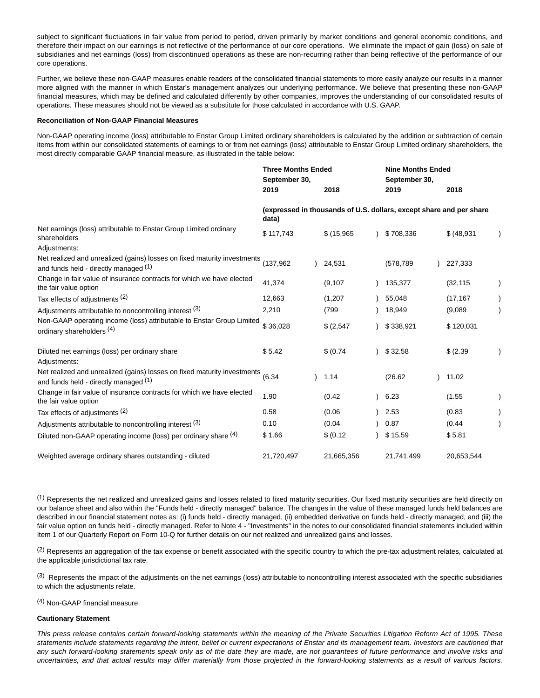subject to significant fluctuations in fair value from period to period, driven primarily by market conditions and general economic conditions, and therefore their impact on our earnings is not reflective of the performance of our core operations. We eliminate the impact of gain (loss) on sale of subsidiaries and net earnings (loss) from discontinued operations as these are non-recurring rather than being reflective of the performance of our core operations.

Further, we believe these non-GAAP measures enable readers of the consolidated financial statements to more easily analyze our results in a manner more aligned with the manner in which Enstar's management analyzes our underlying performance. We believe that presenting these non-GAAP financial measures, which may be defined and calculated differently by other companies, improves the understanding of our consolidated results of operations. These measures should not be viewed as a substitute for those calculated in accordance with U.S. GAAP.

### **Reconciliation of Non-GAAP Financial Measures**

Non-GAAP operating income (loss) attributable to Enstar Group Limited ordinary shareholders is calculated by the addition or subtraction of certain items from within our consolidated statements of earnings to or from net earnings (loss) attributable to Enstar Group Limited ordinary shareholders, the most directly comparable GAAP financial measure, as illustrated in the table below:

|                                                                                                                   | <b>Three Months Ended</b><br>September 30,                                   |  |            |  | <b>Nine Months Ended</b><br>September 30, |  |             |  |
|-------------------------------------------------------------------------------------------------------------------|------------------------------------------------------------------------------|--|------------|--|-------------------------------------------|--|-------------|--|
|                                                                                                                   | 2019                                                                         |  | 2018       |  | 2019                                      |  | 2018        |  |
|                                                                                                                   | (expressed in thousands of U.S. dollars, except share and per share<br>data) |  |            |  |                                           |  |             |  |
| Net earnings (loss) attributable to Enstar Group Limited ordinary<br>shareholders                                 | \$117,743                                                                    |  | \$(15,965) |  | \$708,336                                 |  | \$ (48,931) |  |
| Adjustments:                                                                                                      |                                                                              |  |            |  |                                           |  |             |  |
| Net realized and unrealized (gains) losses on fixed maturity investments<br>and funds held - directly managed (1) | (137,962                                                                     |  | 24,531     |  | (578,789)                                 |  | 227,333     |  |
| Change in fair value of insurance contracts for which we have elected<br>the fair value option                    | 41,374                                                                       |  | (9, 107)   |  | 135,377                                   |  | (32, 115)   |  |
| Tax effects of adjustments (2)                                                                                    | 12,663                                                                       |  | (1,207)    |  | 55,048                                    |  | (17, 167)   |  |
| Adjustments attributable to noncontrolling interest (3)                                                           | 2,210                                                                        |  | (799       |  | 18,949                                    |  | (9,089)     |  |
| Non-GAAP operating income (loss) attributable to Enstar Group Limited<br>ordinary shareholders (4)                | \$36,028                                                                     |  | \$ (2,547) |  | \$338,921                                 |  | \$120,031   |  |
| Diluted net earnings (loss) per ordinary share<br>Adjustments:                                                    | \$5.42                                                                       |  | \$ (0.74)  |  | \$32.58                                   |  | \$ (2.39)   |  |
| Net realized and unrealized (gains) losses on fixed maturity investments<br>and funds held - directly managed (1) | (6.34)                                                                       |  | 1.14       |  | (26.62)                                   |  | 11.02       |  |
| Change in fair value of insurance contracts for which we have elected<br>the fair value option                    | 1.90                                                                         |  | (0.42)     |  | 6.23                                      |  | (1.55)      |  |
| Tax effects of adjustments (2)                                                                                    | 0.58                                                                         |  | (0.06)     |  | 2.53                                      |  | (0.83)      |  |
| Adjustments attributable to noncontrolling interest (3)                                                           | 0.10                                                                         |  | (0.04)     |  | 0.87                                      |  | (0.44)      |  |
| Diluted non-GAAP operating income (loss) per ordinary share (4)                                                   | \$1.66                                                                       |  | \$ (0.12)  |  | \$15.59                                   |  | \$5.81      |  |
| Weighted average ordinary shares outstanding - diluted                                                            | 21,720,497                                                                   |  | 21,665,356 |  | 21,741,499                                |  | 20,653,544  |  |

 $<sup>(1)</sup>$  Represents the net realized and unrealized gains and losses related to fixed maturity securities. Our fixed maturity securities are held directly on</sup> our balance sheet and also within the "Funds held - directly managed" balance. The changes in the value of these managed funds held balances are described in our financial statement notes as: (i) funds held - directly managed, (ii) embedded derivative on funds held - directly managed, and (iii) the fair value option on funds held - directly managed. Refer to Note 4 - "Investments" in the notes to our consolidated financial statements included within Item 1 of our Quarterly Report on Form 10-Q for further details on our net realized and unrealized gains and losses.

 $(2)$  Represents an aggregation of the tax expense or benefit associated with the specific country to which the pre-tax adjustment relates, calculated at the applicable jurisdictional tax rate.

 $^{(3)}$  Represents the impact of the adjustments on the net earnings (loss) attributable to noncontrolling interest associated with the specific subsidiaries to which the adjustments relate.

(4) Non-GAAP financial measure.

## **Cautionary Statement**

This press release contains certain forward-looking statements within the meaning of the Private Securities Litigation Reform Act of 1995. These statements include statements regarding the intent, belief or current expectations of Enstar and its management team. Investors are cautioned that any such forward-looking statements speak only as of the date they are made, are not guarantees of future performance and involve risks and uncertainties, and that actual results may differ materially from those projected in the forward-looking statements as a result of various factors.